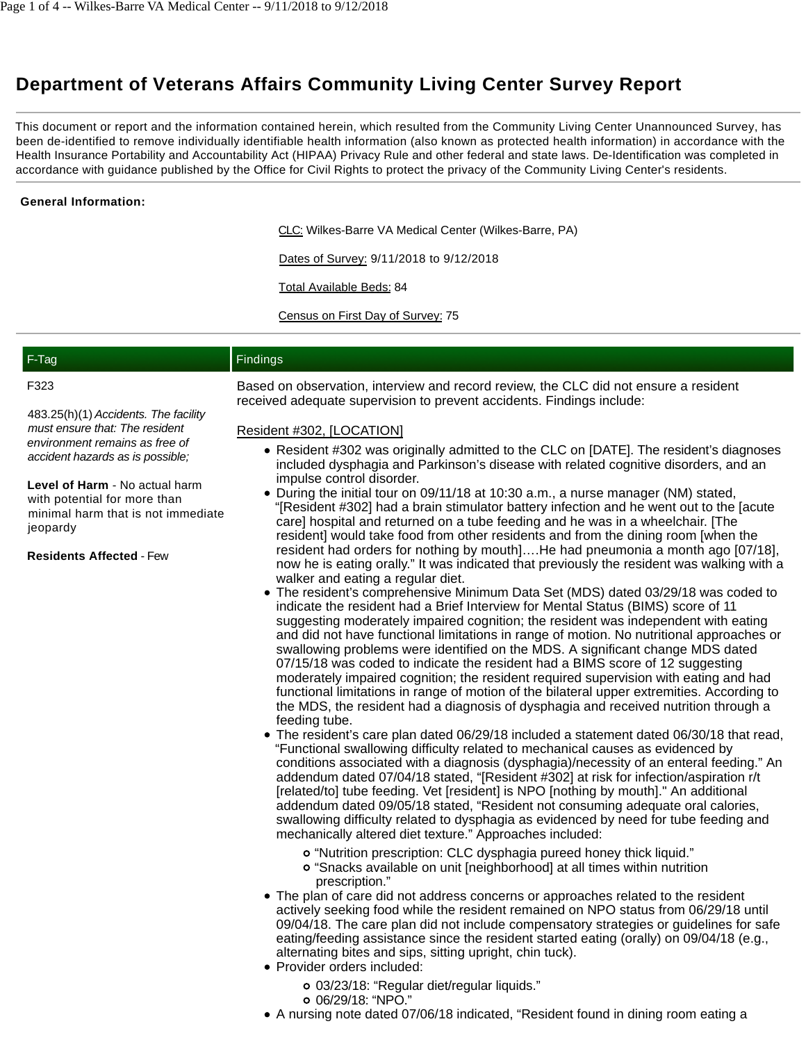# **Department of Veterans Affairs Community Living Center Survey Report**

This document or report and the information contained herein, which resulted from the Community Living Center Unannounced Survey, has been de-identified to remove individually identifiable health information (also known as protected health information) in accordance with the Health Insurance Portability and Accountability Act (HIPAA) Privacy Rule and other federal and state laws. De-Identification was completed in accordance with guidance published by the Office for Civil Rights to protect the privacy of the Community Living Center's residents.

## **General Information:**

CLC: Wilkes-Barre VA Medical Center (Wilkes-Barre, PA)

Dates of Survey: 9/11/2018 to 9/12/2018

Total Available Beds: 84

Census on First Day of Survey: 75

| F-Tag | Findings                                                                                                                                                                                               |
|-------|--------------------------------------------------------------------------------------------------------------------------------------------------------------------------------------------------------|
| F323  | Based on observation, interview and record review, the CLC did not ensure a resident<br>is a strong selection of the second contract second second section of the second section of the second section |

483.25(h)(1) Accidents. The facility must ensure that: The resident environment remains as free of accident hazards as is possible;

**Level of Harm** - No actual harm with potential for more than minimal harm that is not immediate jeopardy

**Residents Affected** - Few

received adequate supervision to prevent accidents. Findings include:

### Resident #302, [LOCATION]

- Resident #302 was originally admitted to the CLC on [DATE]. The resident's diagnoses included dysphagia and Parkinson's disease with related cognitive disorders, and an impulse control disorder.
- During the initial tour on 09/11/18 at 10:30 a.m., a nurse manager (NM) stated, "[Resident #302] had a brain stimulator battery infection and he went out to the [acute care] hospital and returned on a tube feeding and he was in a wheelchair. [The resident] would take food from other residents and from the dining room [when the resident had orders for nothing by mouth]….He had pneumonia a month ago [07/18], now he is eating orally." It was indicated that previously the resident was walking with a walker and eating a regular diet.
- The resident's comprehensive Minimum Data Set (MDS) dated 03/29/18 was coded to indicate the resident had a Brief Interview for Mental Status (BIMS) score of 11 suggesting moderately impaired cognition; the resident was independent with eating and did not have functional limitations in range of motion. No nutritional approaches or swallowing problems were identified on the MDS. A significant change MDS dated 07/15/18 was coded to indicate the resident had a BIMS score of 12 suggesting moderately impaired cognition; the resident required supervision with eating and had functional limitations in range of motion of the bilateral upper extremities. According to the MDS, the resident had a diagnosis of dysphagia and received nutrition through a feeding tube.
- The resident's care plan dated 06/29/18 included a statement dated 06/30/18 that read, "Functional swallowing difficulty related to mechanical causes as evidenced by conditions associated with a diagnosis (dysphagia)/necessity of an enteral feeding." An addendum dated 07/04/18 stated, "[Resident #302] at risk for infection/aspiration r/t [related/to] tube feeding. Vet [resident] is NPO [nothing by mouth]." An additional addendum dated 09/05/18 stated, "Resident not consuming adequate oral calories, swallowing difficulty related to dysphagia as evidenced by need for tube feeding and mechanically altered diet texture." Approaches included:
	- "Nutrition prescription: CLC dysphagia pureed honey thick liquid."
	- "Snacks available on unit [neighborhood] at all times within nutrition prescription."
- The plan of care did not address concerns or approaches related to the resident actively seeking food while the resident remained on NPO status from 06/29/18 until 09/04/18. The care plan did not include compensatory strategies or guidelines for safe eating/feeding assistance since the resident started eating (orally) on 09/04/18 (e.g., alternating bites and sips, sitting upright, chin tuck).
- Provider orders included:
	- 03/23/18: "Regular diet/regular liquids."
	- 06/29/18: "NPO."
- A nursing note dated 07/06/18 indicated, "Resident found in dining room eating a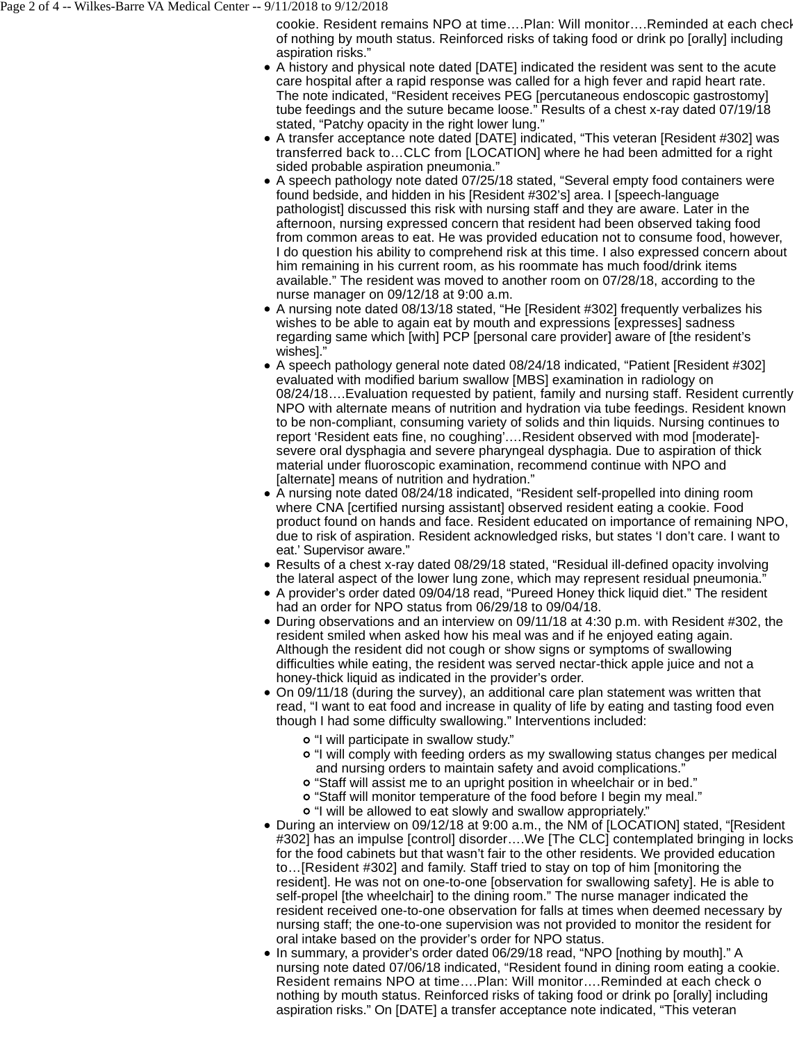cookie. Resident remains NPO at time….Plan: Will monitor….Reminded at each check of nothing by mouth status. Reinforced risks of taking food or drink po [orally] including aspiration risks."

- A history and physical note dated [DATE] indicated the resident was sent to the acute care hospital after a rapid response was called for a high fever and rapid heart rate. The note indicated, "Resident receives PEG [percutaneous endoscopic gastrostomy] tube feedings and the suture became loose." Results of a chest x-ray dated 07/19/18 stated, "Patchy opacity in the right lower lung."
- A transfer acceptance note dated [DATE] indicated, "This veteran [Resident #302] was transferred back to…CLC from [LOCATION] where he had been admitted for a right sided probable aspiration pneumonia."
- A speech pathology note dated 07/25/18 stated, "Several empty food containers were found bedside, and hidden in his [Resident #302's] area. I [speech-language pathologist] discussed this risk with nursing staff and they are aware. Later in the afternoon, nursing expressed concern that resident had been observed taking food from common areas to eat. He was provided education not to consume food, however, I do question his ability to comprehend risk at this time. I also expressed concern about him remaining in his current room, as his roommate has much food/drink items available." The resident was moved to another room on 07/28/18, according to the nurse manager on 09/12/18 at 9:00 a.m.
- A nursing note dated 08/13/18 stated, "He [Resident #302] frequently verbalizes his wishes to be able to again eat by mouth and expressions [expresses] sadness regarding same which [with] PCP [personal care provider] aware of [the resident's wishes]."
- A speech pathology general note dated 08/24/18 indicated, "Patient [Resident #302] evaluated with modified barium swallow [MBS] examination in radiology on 08/24/18….Evaluation requested by patient, family and nursing staff. Resident currently NPO with alternate means of nutrition and hydration via tube feedings. Resident known to be non-compliant, consuming variety of solids and thin liquids. Nursing continues to report 'Resident eats fine, no coughing'.…Resident observed with mod [moderate] severe oral dysphagia and severe pharyngeal dysphagia. Due to aspiration of thick material under fluoroscopic examination, recommend continue with NPO and [alternate] means of nutrition and hydration."
- A nursing note dated 08/24/18 indicated, "Resident self-propelled into dining room where CNA [certified nursing assistant] observed resident eating a cookie. Food product found on hands and face. Resident educated on importance of remaining NPO, due to risk of aspiration. Resident acknowledged risks, but states 'I don't care. I want to eat.' Supervisor aware."
- Results of a chest x-ray dated 08/29/18 stated, "Residual ill-defined opacity involving the lateral aspect of the lower lung zone, which may represent residual pneumonia."
- A provider's order dated 09/04/18 read, "Pureed Honey thick liquid diet." The resident had an order for NPO status from 06/29/18 to 09/04/18.
- During observations and an interview on 09/11/18 at 4:30 p.m. with Resident #302, the resident smiled when asked how his meal was and if he enjoyed eating again. Although the resident did not cough or show signs or symptoms of swallowing difficulties while eating, the resident was served nectar-thick apple juice and not a honey-thick liquid as indicated in the provider's order.
- On 09/11/18 (during the survey), an additional care plan statement was written that read, "I want to eat food and increase in quality of life by eating and tasting food even though I had some difficulty swallowing." Interventions included:
	- "I will participate in swallow study."
	- "I will comply with feeding orders as my swallowing status changes per medical and nursing orders to maintain safety and avoid complications."
	- "Staff will assist me to an upright position in wheelchair or in bed."
	- "Staff will monitor temperature of the food before I begin my meal."
	- "I will be allowed to eat slowly and swallow appropriately."
- During an interview on 09/12/18 at 9:00 a.m., the NM of [LOCATION] stated, "[Resident #302] has an impulse [control] disorder….We [The CLC] contemplated bringing in locks for the food cabinets but that wasn't fair to the other residents. We provided education to…[Resident #302] and family. Staff tried to stay on top of him [monitoring the resident]. He was not on one-to-one [observation for swallowing safety]. He is able to self-propel [the wheelchair] to the dining room." The nurse manager indicated the resident received one-to-one observation for falls at times when deemed necessary by nursing staff; the one-to-one supervision was not provided to monitor the resident for oral intake based on the provider's order for NPO status.
- In summary, a provider's order dated 06/29/18 read, "NPO [nothing by mouth]." A nursing note dated 07/06/18 indicated, "Resident found in dining room eating a cookie. Resident remains NPO at time....Plan: Will monitor....Reminded at each check of nothing by mouth status. Reinforced risks of taking food or drink po [orally] including aspiration risks." On [DATE] a transfer acceptance note indicated, "This veteran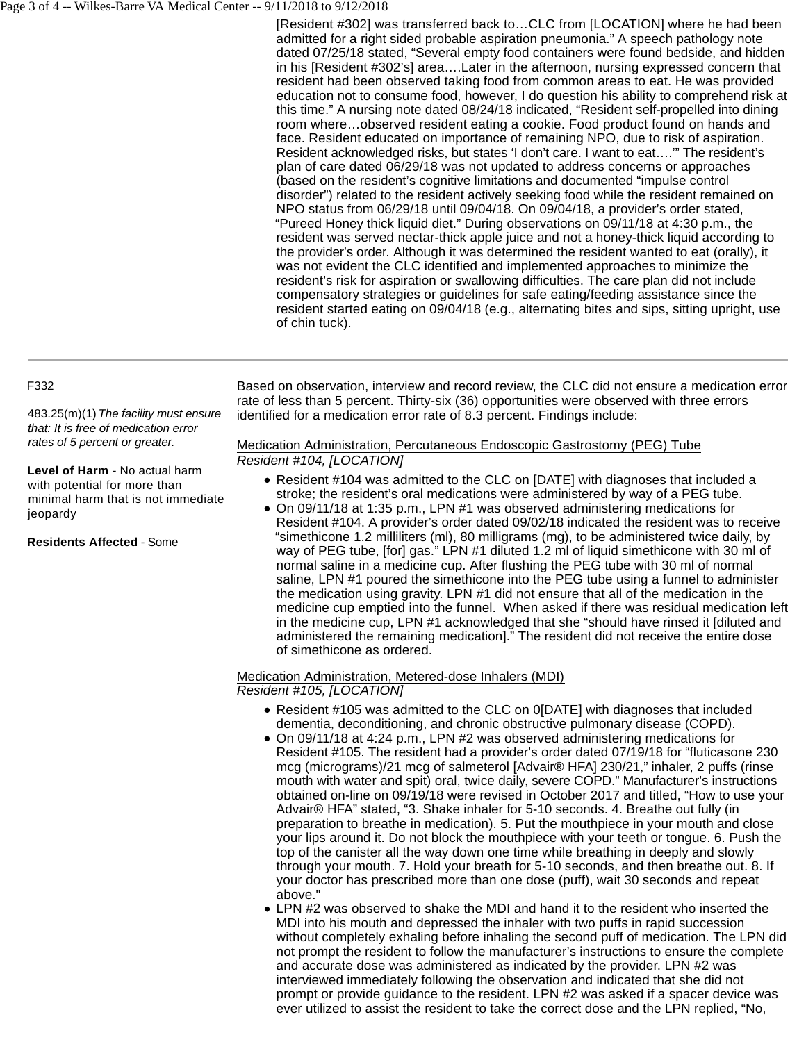#### Page 3 of 4 -- Wilkes-Barre VA Medical Center -- 9/11/2018 to 9/12/2018

[Resident #302] was transferred back to…CLC from [LOCATION] where he had been admitted for a right sided probable aspiration pneumonia." A speech pathology note dated 07/25/18 stated, "Several empty food containers were found bedside, and hidden in his [Resident #302's] area….Later in the afternoon, nursing expressed concern that resident had been observed taking food from common areas to eat. He was provided education not to consume food, however, I do question his ability to comprehend risk at this time." A nursing note dated 08/24/18 indicated, "Resident self-propelled into dining room where…observed resident eating a cookie. Food product found on hands and face. Resident educated on importance of remaining NPO, due to risk of aspiration. Resident acknowledged risks, but states 'I don't care. I want to eat….'" The resident's plan of care dated 06/29/18 was not updated to address concerns or approaches (based on the resident's cognitive limitations and documented "impulse control disorder") related to the resident actively seeking food while the resident remained on NPO status from 06/29/18 until 09/04/18. On 09/04/18, a provider's order stated, "Pureed Honey thick liquid diet." During observations on 09/11/18 at 4:30 p.m., the resident was served nectar-thick apple juice and not a honey-thick liquid according to the provider's order. Although it was determined the resident wanted to eat (orally), it was not evident the CLC identified and implemented approaches to minimize the resident's risk for aspiration or swallowing difficulties. The care plan did not include compensatory strategies or guidelines for safe eating/feeding assistance since the resident started eating on 09/04/18 (e.g., alternating bites and sips, sitting upright, use of chin tuck).

#### F332

483.25(m)(1) The facility must ensure that: It is free of medication error rates of 5 percent or greater.

**Level of Harm** - No actual harm with potential for more than minimal harm that is not immediate jeopardy

**Residents Affected** - Some

Based on observation, interview and record review, the CLC did not ensure a medication error rate of less than 5 percent. Thirty-six (36) opportunities were observed with three errors identified for a medication error rate of 8.3 percent. Findings include:

# Medication Administration, Percutaneous Endoscopic Gastrostomy (PEG) Tube Resident #104, [LOCATION]

- Resident #104 was admitted to the CLC on [DATE] with diagnoses that included a stroke; the resident's oral medications were administered by way of a PEG tube.
- On 09/11/18 at 1:35 p.m., LPN #1 was observed administering medications for Resident #104. A provider's order dated 09/02/18 indicated the resident was to receive "simethicone 1.2 milliliters (ml), 80 milligrams (mg), to be administered twice daily, by way of PEG tube, [for] gas." LPN #1 diluted 1.2 ml of liquid simethicone with 30 ml of normal saline in a medicine cup. After flushing the PEG tube with 30 ml of normal saline, LPN #1 poured the simethicone into the PEG tube using a funnel to administer the medication using gravity. LPN #1 did not ensure that all of the medication in the medicine cup emptied into the funnel. When asked if there was residual medication left in the medicine cup, LPN #1 acknowledged that she "should have rinsed it [diluted and administered the remaining medication]." The resident did not receive the entire dose of simethicone as ordered.

# Medication Administration, Metered-dose Inhalers (MDI)

Resident #105, [LOCATION]

- Resident #105 was admitted to the CLC on 0[DATE] with diagnoses that included dementia, deconditioning, and chronic obstructive pulmonary disease (COPD).
- On 09/11/18 at 4:24 p.m., LPN #2 was observed administering medications for Resident #105. The resident had a provider's order dated 07/19/18 for "fluticasone 230 mcg (micrograms)/21 mcg of salmeterol [Advair® HFA] 230/21," inhaler, 2 puffs (rinse mouth with water and spit) oral, twice daily, severe COPD." Manufacturer's instructions obtained on-line on 09/19/18 were revised in October 2017 and titled, "How to use your Advair® HFA" stated, "3. Shake inhaler for 5-10 seconds. 4. Breathe out fully (in preparation to breathe in medication). 5. Put the mouthpiece in your mouth and close your lips around it. Do not block the mouthpiece with your teeth or tongue. 6. Push the top of the canister all the way down one time while breathing in deeply and slowly through your mouth. 7. Hold your breath for 5-10 seconds, and then breathe out. 8. If your doctor has prescribed more than one dose (puff), wait 30 seconds and repeat above."
- LPN #2 was observed to shake the MDI and hand it to the resident who inserted the MDI into his mouth and depressed the inhaler with two puffs in rapid succession without completely exhaling before inhaling the second puff of medication. The LPN did not prompt the resident to follow the manufacturer's instructions to ensure the complete and accurate dose was administered as indicated by the provider. LPN #2 was interviewed immediately following the observation and indicated that she did not prompt or provide guidance to the resident. LPN #2 was asked if a spacer device was ever utilized to assist the resident to take the correct dose and the LPN replied, "No,